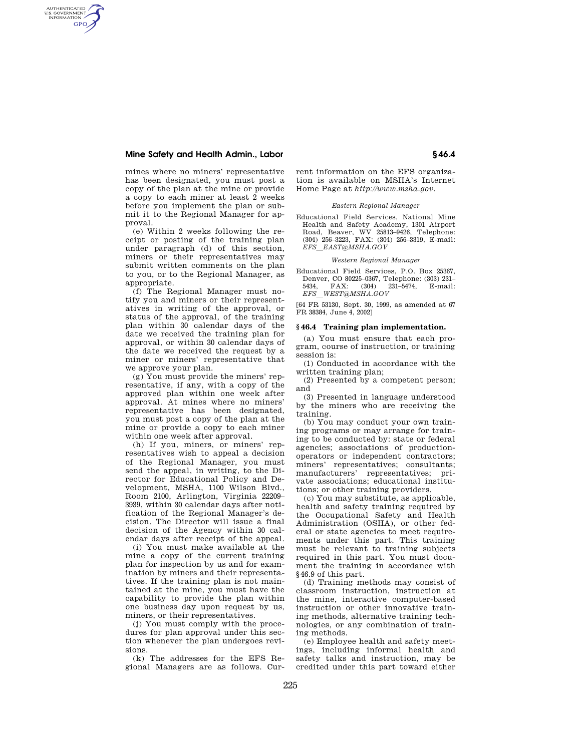# **Mine Safety and Health Admin., Labor § 46.4**

AUTHENTICATED<br>U.S. GOVERNMENT<br>INFORMATION **GPO** 

> mines where no miners' representative has been designated, you must post a copy of the plan at the mine or provide a copy to each miner at least 2 weeks before you implement the plan or submit it to the Regional Manager for approval.

> (e) Within 2 weeks following the receipt or posting of the training plan under paragraph (d) of this section, miners or their representatives may submit written comments on the plan to you, or to the Regional Manager, as appropriate.

> (f) The Regional Manager must notify you and miners or their representatives in writing of the approval, or status of the approval, of the training plan within 30 calendar days of the date we received the training plan for approval, or within 30 calendar days of the date we received the request by a miner or miners' representative that we approve your plan.

> (g) You must provide the miners' representative, if any, with a copy of the approved plan within one week after approval. At mines where no miners' representative has been designated, you must post a copy of the plan at the mine or provide a copy to each miner within one week after approval.

> (h) If you, miners, or miners' representatives wish to appeal a decision of the Regional Manager, you must send the appeal, in writing, to the Director for Educational Policy and Development, MSHA, 1100 Wilson Blvd., Room 2100, Arlington, Virginia 22209– 3939, within 30 calendar days after notification of the Regional Manager's decision. The Director will issue a final decision of the Agency within 30 calendar days after receipt of the appeal.

> (i) You must make available at the mine a copy of the current training plan for inspection by us and for examination by miners and their representatives. If the training plan is not maintained at the mine, you must have the capability to provide the plan within one business day upon request by us, miners, or their representatives.

> (j) You must comply with the procedures for plan approval under this section whenever the plan undergoes revisions.

> (k) The addresses for the EFS Regional Managers are as follows. Cur

rent information on the EFS organization is available on MSHA's Internet Home Page at *http://www.msha.gov.* 

#### *Eastern Regional Manager*

Educational Field Services, National Mine Health and Safety Academy, 1301 Airport Road, Beaver, WV 25813–9426, Telephone: (304) 256–3223, FAX: (304) 256–3319, E-mail: *EFS*l*EAST@MSHA.GOV* 

#### *Western Regional Manager*

Educational Field Services, P.O. Box 25367, Denver, CO 80225-0367, Telephone: (303) 231-<br>5434. FAX: (304) 231-5474. E-mail: 5434, FAX: (304) 231-5474, *EFS*l*WEST@MSHA.GOV* 

[64 FR 53130, Sept. 30, 1999, as amended at 67 FR 38384, June 4, 2002]

## **§ 46.4 Training plan implementation.**

(a) You must ensure that each program, course of instruction, or training session is:

(1) Conducted in accordance with the written training plan;

(2) Presented by a competent person; and

(3) Presented in language understood by the miners who are receiving the training.

(b) You may conduct your own training programs or may arrange for training to be conducted by: state or federal agencies; associations of productionoperators or independent contractors; miners' representatives; consultants; manufacturers' representatives; private associations; educational institutions; or other training providers.

(c) You may substitute, as applicable, health and safety training required by the Occupational Safety and Health Administration (OSHA), or other federal or state agencies to meet requirements under this part. This training must be relevant to training subjects required in this part. You must document the training in accordance with §46.9 of this part.

(d) Training methods may consist of classroom instruction, instruction at the mine, interactive computer-based instruction or other innovative training methods, alternative training technologies, or any combination of training methods.

(e) Employee health and safety meetings, including informal health and safety talks and instruction, may be credited under this part toward either